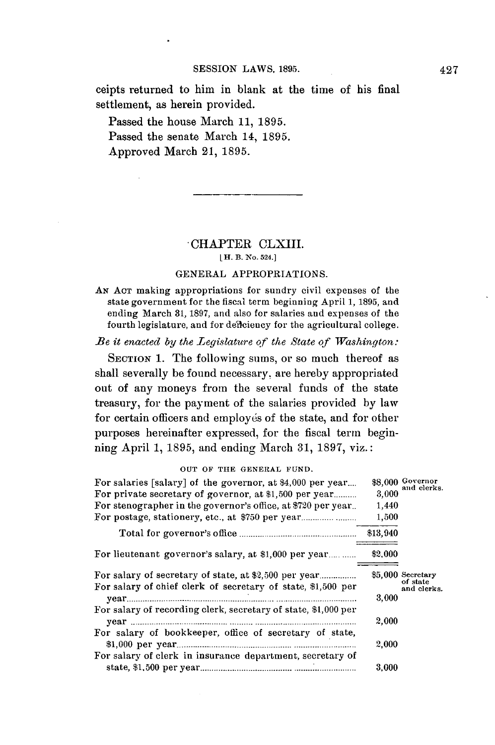ceipts returned to him in blank at the time of his final settlement, as herein provided.

Passed the house March **11, 1895.** Passed the senate March 14, **1895.** Approved March 21, **1895.**

# CHAPTER CLXIII.

### LH. B. **No. 524.]**

#### **GENERAL** APPROPRIATIONS.

**AN ACT** making appropriations for sundry civil expenses of the state government for the fiscal term beginning April **1, 1895,** and ending March **31, 1897,** and also for salaries and expenses of the fourth legislature, and for defleiency for the agricultural college.

*Be it enacted by the Legislature of the State of Washington:* 

**SECTION 1.** The following **sums,** or so much thereof as shall severally be found necessary, are hereby appropriated out of any moneys from the several funds of the state treasury, for the payment of the salaries provided **by** law for certain officers and employés of the state, and for other purposes hereinafter expressed, for the fiscal term beginning April **1, 1895,** and ending March **31, 1897,** viz.:

For salaries [salary] of the governor, at \$4,000 per year.... \$8,000 Governor<br>For private secretary of governor, at \$1,500 per year........ 3,000 and clerks. For private secretary of governor, at \$1,500 per year.......... For stenographer in the governor's office, at **\$720** per year.. 1,440 For postage, stationery, etc., at **\$750** per year **....................... 1,500** Total for governor's office **..................................................** \$13,940 For lieutenant governor's salary, at **\$1,000** per **year.........** \$2,000 For salary of secretary of state, at \$2,500 per **year................ \$5,000 Secretary** For salary of chief clerk of secretary of state, \$1,500 per nad clerks.<br>
vear 3.000 **year........................ ................................................. 3,000** For salary of recording clerk, secretary of state, **\$1,000** per y ear **................................ ........ .......... ............................................** 2,000 For salary of bookkeeper, office of secretary of state, **\$1,000** per **year.............................................. ...........................** 2,000 For salary of clerk in insurance department, secretary **of** state, **\$1,500** per **year....................................... ........................... 3,000**

**OUT OF THE GENERAL FUND.**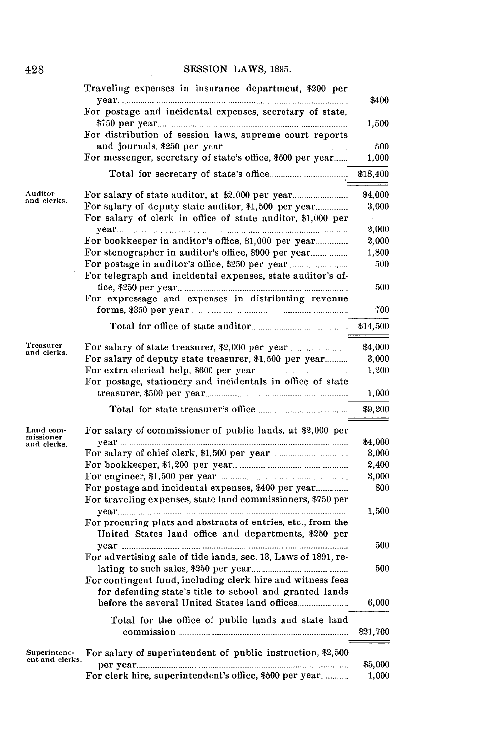### **SESSION** LAWS, **1895.**

 $\mathcal{L}$ 

|                                 | Traveling expenses in insurance department, \$200 per                                                                | \$400        |
|---------------------------------|----------------------------------------------------------------------------------------------------------------------|--------------|
|                                 | For postage and incidental expenses, secretary of state,                                                             | 1,500        |
|                                 | For distribution of session laws, supreme court reports                                                              |              |
|                                 | For messenger, secretary of state's office, \$500 per year                                                           | 500<br>1,000 |
|                                 |                                                                                                                      | \$18,400     |
| Auditor                         |                                                                                                                      | \$4,000      |
| and clerks.                     |                                                                                                                      | 3,000        |
|                                 | For salary of clerk in office of state auditor, \$1,000 per                                                          | 2,000        |
|                                 |                                                                                                                      | 2,000        |
|                                 |                                                                                                                      | 1,800        |
|                                 |                                                                                                                      | 500          |
|                                 | For telegraph and incidental expenses, state auditor's of-                                                           | 500          |
|                                 | For expressage and expenses in distributing revenue                                                                  | 700          |
|                                 |                                                                                                                      | \$14,500     |
|                                 |                                                                                                                      |              |
| Treasurer<br>and clerks.        |                                                                                                                      | \$4,000      |
|                                 | For salary of deputy state treasurer, \$1,500 per year                                                               | 3,000        |
|                                 |                                                                                                                      | 1,200        |
|                                 | For postage, stationery and incidentals in office of state                                                           | 1,000        |
|                                 |                                                                                                                      | \$9,200      |
| Land com-<br>missioner          | For salary of commissioner of public lands, at \$2,000 per                                                           |              |
| and clerks.                     |                                                                                                                      | \$4,000      |
|                                 |                                                                                                                      | 3,000        |
|                                 |                                                                                                                      | 2,400        |
|                                 |                                                                                                                      | 3,000<br>800 |
|                                 | For postage and incidental expenses, \$400 per year<br>For traveling expenses, state land commissioners, \$750 per   | 1,500        |
|                                 | For procuring plats and abstracts of entries, etc., from the<br>United States land office and departments, \$250 per |              |
|                                 |                                                                                                                      | 500          |
|                                 | For advertising sale of tide lands, sec. 13, Laws of 1891, re-                                                       |              |
|                                 | For contingent fund, including clerk hire and witness fees                                                           | 500          |
|                                 | for defending state's title to school and granted lands                                                              |              |
|                                 |                                                                                                                      | 6,000        |
|                                 | Total for the office of public lands and state land                                                                  | \$21,700     |
| Superintend-<br>ent and clerks. | For salary of superintendent of public instruction, \$2,500                                                          | \$5,000      |
|                                 | For clerk hire, superintendent's office, \$500 per year.                                                             | 1,000        |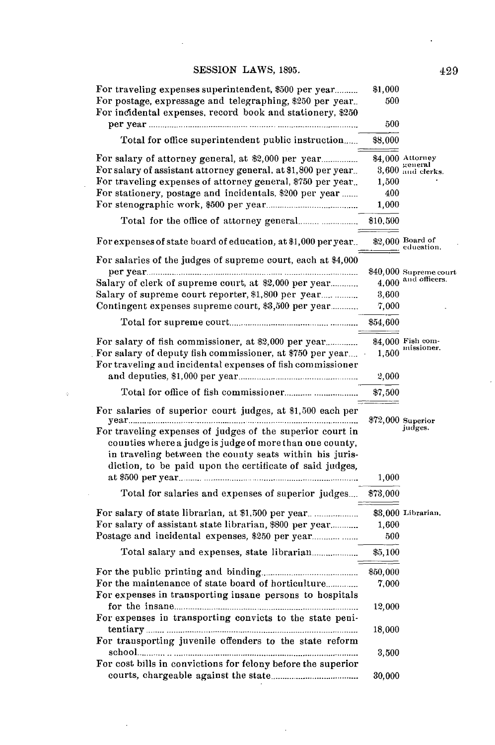## **SESSION** LAWS, **1895.**

| For traveling expenses superintendent, \$500 per year                                                                                                                            | \$1,000  |                                               |
|----------------------------------------------------------------------------------------------------------------------------------------------------------------------------------|----------|-----------------------------------------------|
| For postage, expressage and telegraphing, \$250 per year.<br>For incidental expenses, record book and stationery, \$250                                                          | 500      |                                               |
|                                                                                                                                                                                  | 500      |                                               |
| Total for office superintendent public instruction                                                                                                                               | \$8,000  |                                               |
| For salary of attorney general, at \$2,000 per year                                                                                                                              |          | \$4,000 Attorney                              |
| For salary of assistant attorney general, at \$1,800 per year                                                                                                                    |          | 3,600 general 3,600 and clerks.               |
| For traveling expenses of attorney general, \$750 per year.                                                                                                                      | 1,500    |                                               |
| For stationery, postage and incidentals, \$200 per year                                                                                                                          | 400      |                                               |
|                                                                                                                                                                                  | 1.000    |                                               |
|                                                                                                                                                                                  | \$10,500 |                                               |
| For expenses of state board of education, at \$1,000 per year                                                                                                                    |          | \$2,000 Board of<br>education.                |
| For salaries of the judges of supreme court, each at \$4,000                                                                                                                     |          |                                               |
|                                                                                                                                                                                  |          | \$40,000 Supreme court<br>4,000 and officers. |
| Salary of clerk of supreme court, at \$2,000 per year                                                                                                                            |          |                                               |
| Salary of supreme court reporter, \$1,800 per year                                                                                                                               | 3.600    |                                               |
| Contingent expenses supreme court, \$3,500 per year                                                                                                                              | 7,000    |                                               |
|                                                                                                                                                                                  | \$54,600 |                                               |
|                                                                                                                                                                                  |          | \$4,000 Fish com-                             |
| For salary of deputy fish commissioner, at \$750 per year                                                                                                                        | 1,500    | missioner.                                    |
| For traveling and incidental expenses of fish commissioner                                                                                                                       |          |                                               |
|                                                                                                                                                                                  | 2,000    |                                               |
| Total for office of fish commissioner                                                                                                                                            | \$7,500  |                                               |
| For salaries of superior court judges, at \$1,500 each per                                                                                                                       |          | $\$72,000$ Superior                           |
| For traveling expenses of judges of the superior court in<br>counties where a judge is judge of more than one county,<br>in traveling between the county seats within his juris- |          | judges.                                       |
| diction, to be paid upon the certificate of said judges,                                                                                                                         |          |                                               |
|                                                                                                                                                                                  | 1,000    |                                               |
| Total for salaries and expenses of superior judges                                                                                                                               | \$73,000 |                                               |
|                                                                                                                                                                                  |          | \$3,000 Librarian.                            |
| For salary of assistant state librarian, \$800 per year                                                                                                                          | 1,600    |                                               |
|                                                                                                                                                                                  | 500      |                                               |
|                                                                                                                                                                                  | \$5,100  |                                               |
|                                                                                                                                                                                  | \$50,000 |                                               |
|                                                                                                                                                                                  | 7,000    |                                               |
| For expenses in transporting insane persons to hospitals                                                                                                                         |          |                                               |
|                                                                                                                                                                                  | 12,000   |                                               |
| For expenses in transporting convicts to the state peni-                                                                                                                         | 18,000   |                                               |
| For transporting juvenile offenders to the state reform                                                                                                                          |          |                                               |
|                                                                                                                                                                                  |          |                                               |
|                                                                                                                                                                                  | 3,500    |                                               |
| For cost bills in convictions for felony before the superior                                                                                                                     | 30,000   |                                               |

 $\ddot{\phantom{a}}$ 

 $\ddot{\phantom{a}}$ 

 $\ddot{\phantom{a}}$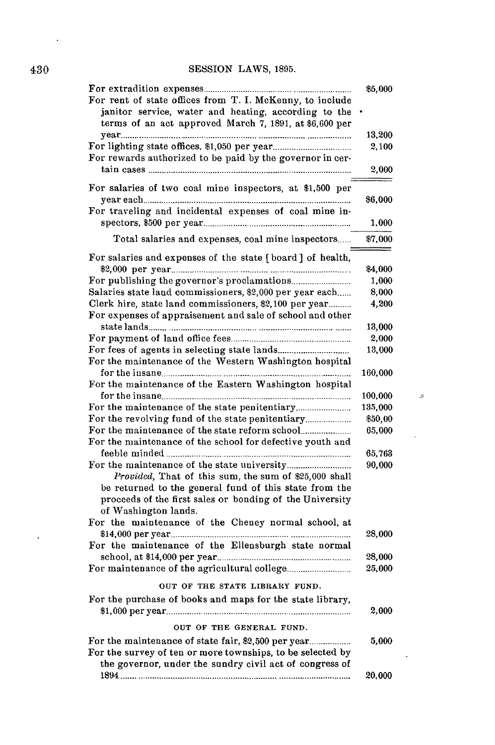# 430 **SESSION** LAWS, **1895.**

| For rent of state offices from T. I. McKenny, to include<br>janitor service, water and heating, according to the<br>terms of an act approved March 7, 1891, at \$6,600 per                                                                                 | \$5,000          |
|------------------------------------------------------------------------------------------------------------------------------------------------------------------------------------------------------------------------------------------------------------|------------------|
| For rewards authorized to be paid by the governor in cer-                                                                                                                                                                                                  | 13,200<br>2,100  |
|                                                                                                                                                                                                                                                            | 2,000            |
| For salaries of two coal mine inspectors, at \$1,500 per                                                                                                                                                                                                   | \$6,000          |
| For traveling and incidental expenses of coal mine in-                                                                                                                                                                                                     | 1,000            |
| Total salaries and expenses, coal mine inspectors                                                                                                                                                                                                          | \$7,000          |
| For salaries and expenses of the state [board] of health,                                                                                                                                                                                                  | \$4,000          |
|                                                                                                                                                                                                                                                            | 1,000            |
| Salaries state land commissioners, \$2,000 per year each                                                                                                                                                                                                   | 8,000            |
| Clerk hire, state land commissioners, \$2,100 per year<br>For expenses of appraisement and sale of school and other                                                                                                                                        | 4,200            |
|                                                                                                                                                                                                                                                            | 13,000           |
|                                                                                                                                                                                                                                                            | 2,000            |
|                                                                                                                                                                                                                                                            | 13,000           |
| For the maintenance of the Western Washington hospital                                                                                                                                                                                                     | 160,000          |
| For the maintenance of the Eastern Washington hospital                                                                                                                                                                                                     |                  |
|                                                                                                                                                                                                                                                            | 100,000          |
|                                                                                                                                                                                                                                                            | 135,000          |
|                                                                                                                                                                                                                                                            | \$50,00          |
|                                                                                                                                                                                                                                                            | 65,000           |
| For the maintenance of the school for defective youth and                                                                                                                                                                                                  |                  |
|                                                                                                                                                                                                                                                            | 65,763           |
| Provided, That of this sum, the sum of \$25,000 shall<br>be returned to the general fund of this state from the<br>proceeds of the first sales or bonding of the University<br>of Washington lands.<br>For the maintenance of the Cheney normal school, at | 90,000           |
|                                                                                                                                                                                                                                                            | 28,000           |
| For the maintenance of the Ellensburgh state normal                                                                                                                                                                                                        |                  |
|                                                                                                                                                                                                                                                            | 28,000<br>25,000 |
|                                                                                                                                                                                                                                                            |                  |
| OUT OF THE STATE LIBRARY FUND.                                                                                                                                                                                                                             |                  |
| For the purchase of books and maps for the state library,                                                                                                                                                                                                  | 2,000            |
| OUT OF THE GENERAL FUND.                                                                                                                                                                                                                                   |                  |
| For the survey of ten or more townships, to be selected by<br>the governor, under the sundry civil act of congress of                                                                                                                                      | 5,000            |
|                                                                                                                                                                                                                                                            | 20,000           |

 $\mathcal{A}$ 

 $\ddot{\phantom{0}}$ 

 $\ddot{\phantom{0}}$ 

 $\mathcal{L}^{\mathcal{L}}(\mathcal{A})$  .